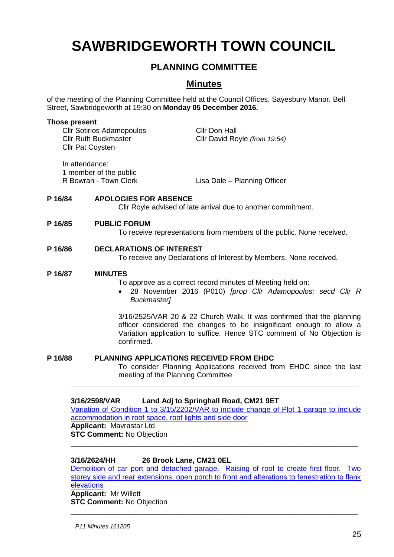# **SAWBRIDGEWORTH TOWN COUNCIL**

# **PLANNING COMMITTEE**

# **Minutes**

of the meeting of the Planning Committee held at the Council Offices, Sayesbury Manor, Bell Street, Sawbridgeworth at 19:30 on **Monday 05 December 2016.**

#### **Those present**

Cllr Sotirios Adamopoulos Cllr Don Hall Cllr Pat Coysten

Cllr Ruth Buckmaster Cllr David Royle *(from 19:54)*

In attendance:

1 member of the public

R Bowran - Town Clerk Lisa Dale – Planning Officer

#### **P 16/84 APOLOGIES FOR ABSENCE**

Cllr Royle advised of late arrival due to another commitment.

#### **P 16/85 PUBLIC FORUM**

To receive representations from members of the public. None received.

#### **P 16/86 DECLARATIONS OF INTEREST**

To receive any Declarations of Interest by Members. None received.

#### **P 16/87 MINUTES**

To approve as a correct record minutes of Meeting held on:

 28 November 2016 (P010) *[prop Cllr Adamopoulos; secd Cllr R Buckmaster]*

3/16/2525/VAR 20 & 22 Church Walk. It was confirmed that the planning officer considered the changes to be insignificant enough to allow a Variation application to suffice. Hence STC comment of No Objection is confirmed.

**P 16/88 PLANNING APPLICATIONS RECEIVED FROM EHDC**

To consider Planning Applications received from EHDC since the last meeting of the Planning Committee

#### **3/16/2598/VAR Land Adj to Springhall Road, CM21 9ET**

[Variation of Condition 1 to 3/15/2202/VAR to include change of Plot 1 garage to include](https://publicaccess.eastherts.gov.uk/online-applications/applicationDetails.do?activeTab=summary&keyVal=OH1A9TGLM9S00)  [accommodation in roof space, roof lights and side door](https://publicaccess.eastherts.gov.uk/online-applications/applicationDetails.do?activeTab=summary&keyVal=OH1A9TGLM9S00) **Applicant:** Mavrastar Ltd

**\_\_\_\_\_\_\_\_\_\_\_\_\_\_\_\_\_\_\_\_\_\_\_\_\_\_\_\_\_\_\_\_\_\_\_\_\_\_\_\_\_\_\_\_\_\_\_\_\_\_\_\_\_\_\_\_\_\_\_\_\_\_\_\_\_**

**STC Comment:** No Objection **\_\_\_\_\_\_\_\_\_\_\_\_\_\_\_\_\_\_\_\_\_\_\_\_\_\_\_\_\_\_\_\_\_\_\_\_\_\_\_\_\_\_\_\_\_\_\_\_\_\_\_\_\_\_\_\_\_\_\_\_\_\_\_\_\_**

#### **3/16/2624/HH 26 Brook Lane, CM21 0EL**

Demolition of car port and detached garage. Raising of roof to create first floor. Two storey side and rear extensions, open porch to front and alterations to fenestration to flank [elevations](https://publicaccess.eastherts.gov.uk/online-applications/applicationDetails.do?activeTab=summary&keyVal=OH5LVKGLMAU00) **Applicant:** Mr Willett

**STC Comment:** No Objection **\_\_\_\_\_\_\_\_\_\_\_\_\_\_\_\_\_\_\_\_\_\_\_\_\_\_\_\_\_\_\_\_\_\_\_\_\_\_\_\_\_\_\_\_\_\_\_\_\_\_\_\_\_\_\_\_\_\_\_\_\_\_\_\_\_**